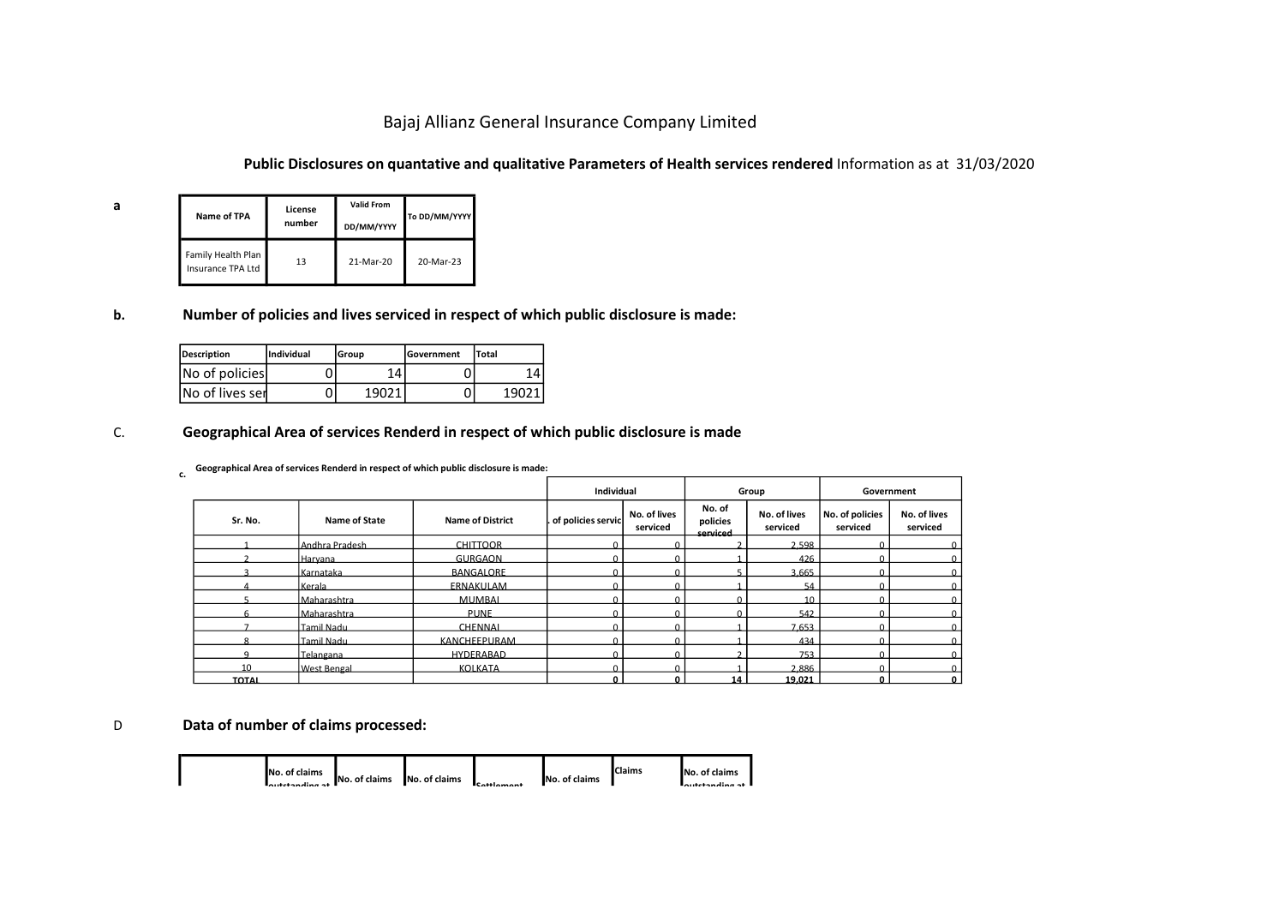# Bajaj Allianz General Insurance Company Limited

### Public Disclosures on quantative and qualitative Parameters of Health services rendered Information as at 31/03/2020

| а | Name of TPA                             | License<br>number | <b>Valid From</b><br>DD/MM/YYYY | To DD/MM/YYYY |
|---|-----------------------------------------|-------------------|---------------------------------|---------------|
|   | Family Health Plan<br>Insurance TPA Ltd | 13                | 21-Mar-20                       | 20-Mar-23     |

### b. Number of policies and lives serviced in respect of which public disclosure is made:

| Description      | <b>Individual</b> | lGroup | <b>IGovernment</b> | Total |
|------------------|-------------------|--------|--------------------|-------|
| No of policies   |                   | 14     |                    |       |
| INo of lives ser |                   | 19021  |                    | 1 Q N |

### C. Geographical Area of services Renderd in respect of which public disclosure is made

### c. Geographical Area of services Renderd in respect of which public disclosure is made:

|                                                                                      |                            |                                 |               |                              | Bajaj Allianz General Insurance Company Limited                                                                      |                          |                                |                          |                             |                          |  |  |  |
|--------------------------------------------------------------------------------------|----------------------------|---------------------------------|---------------|------------------------------|----------------------------------------------------------------------------------------------------------------------|--------------------------|--------------------------------|--------------------------|-----------------------------|--------------------------|--|--|--|
|                                                                                      |                            |                                 |               |                              | Public Disclosures on quantative and qualitative Parameters of Health services rendered Information as at 31/03/2020 |                          |                                |                          |                             |                          |  |  |  |
| Name of TPA                                                                          | License<br>number          | <b>Valid From</b><br>DD/MM/YYYY | To DD/MM/YYYY |                              |                                                                                                                      |                          |                                |                          |                             |                          |  |  |  |
| amily Health Plan<br><b>Isurance TPA Ltd</b>                                         | 13                         | 21-Mar-20                       | 20-Mar-23     |                              |                                                                                                                      |                          |                                |                          |                             |                          |  |  |  |
|                                                                                      |                            |                                 |               |                              | umber of policies and lives serviced in respect of which public disclosure is made:                                  |                          |                                |                          |                             |                          |  |  |  |
| scription                                                                            | Individual                 | Group                           | Government    | Total                        |                                                                                                                      |                          |                                |                          |                             |                          |  |  |  |
| o of policies                                                                        | 0                          | 14                              | 0             | 14                           |                                                                                                                      |                          |                                |                          |                             |                          |  |  |  |
|                                                                                      |                            |                                 |               |                              |                                                                                                                      |                          |                                |                          |                             |                          |  |  |  |
| o of lives ser                                                                       | 0                          | 19021                           | 0             | 19021                        |                                                                                                                      |                          |                                |                          |                             |                          |  |  |  |
| eographical Area of services Renderd in respect of which public disclosure is made   |                            |                                 |               |                              |                                                                                                                      |                          |                                |                          |                             |                          |  |  |  |
| Geographical Area of services Renderd in respect of which public disclosure is made: |                            |                                 |               |                              | Individual                                                                                                           |                          |                                | Group                    | Government                  |                          |  |  |  |
| Sr. No.                                                                              |                            | Name of State                   |               | <b>Name of District</b>      | of policies servic                                                                                                   | No. of lives<br>serviced | No. of<br>policies<br>serviced | No. of lives<br>serviced | No. of policies<br>serviced | No. of lives<br>serviced |  |  |  |
|                                                                                      | Andhra Pradesh             |                                 |               | <b>CHITTOOR</b>              |                                                                                                                      |                          |                                | 2.598                    |                             |                          |  |  |  |
|                                                                                      | Haryana                    |                                 |               | <b>GURGAON</b>               |                                                                                                                      |                          |                                | 426                      |                             |                          |  |  |  |
| $\overline{a}$                                                                       | Karnataka                  |                                 |               | <b>BANGALORE</b>             |                                                                                                                      |                          |                                | 3,665                    |                             |                          |  |  |  |
| $5^{\circ}$                                                                          | Kerala                     |                                 |               | <b>ERNAKULAM</b>             |                                                                                                                      |                          | $\Omega$                       | 54                       |                             |                          |  |  |  |
|                                                                                      | Maharashtra<br>Maharashtra |                                 |               | <b>MUMBAL</b><br><b>PUNE</b> |                                                                                                                      |                          |                                | 10<br>542                |                             |                          |  |  |  |
| $\overline{7}$                                                                       | Camil Nadi                 |                                 |               | CHENNAL                      |                                                                                                                      | $\sqrt{ }$               |                                | 7,653                    |                             |                          |  |  |  |
|                                                                                      | amil Nadu                  |                                 |               | KANCHEEPURAM                 |                                                                                                                      |                          |                                | 434                      |                             |                          |  |  |  |
| $\mathbf{q}$                                                                         | Telangana                  |                                 |               | <b>HYDERABAD</b>             |                                                                                                                      | $\sqrt{ }$               | $\mathcal{D}$                  | 753                      | $\Omega$                    |                          |  |  |  |
| 10<br>TOTAL                                                                          | <b>West Bengal</b>         |                                 |               | <b>KOLKATA</b>               |                                                                                                                      |                          | 14                             | 2,886<br>19.021          |                             |                          |  |  |  |
| ata of number of claims processed:                                                   |                            |                                 |               |                              |                                                                                                                      |                          |                                |                          |                             |                          |  |  |  |

## D Data of number of claims processed:

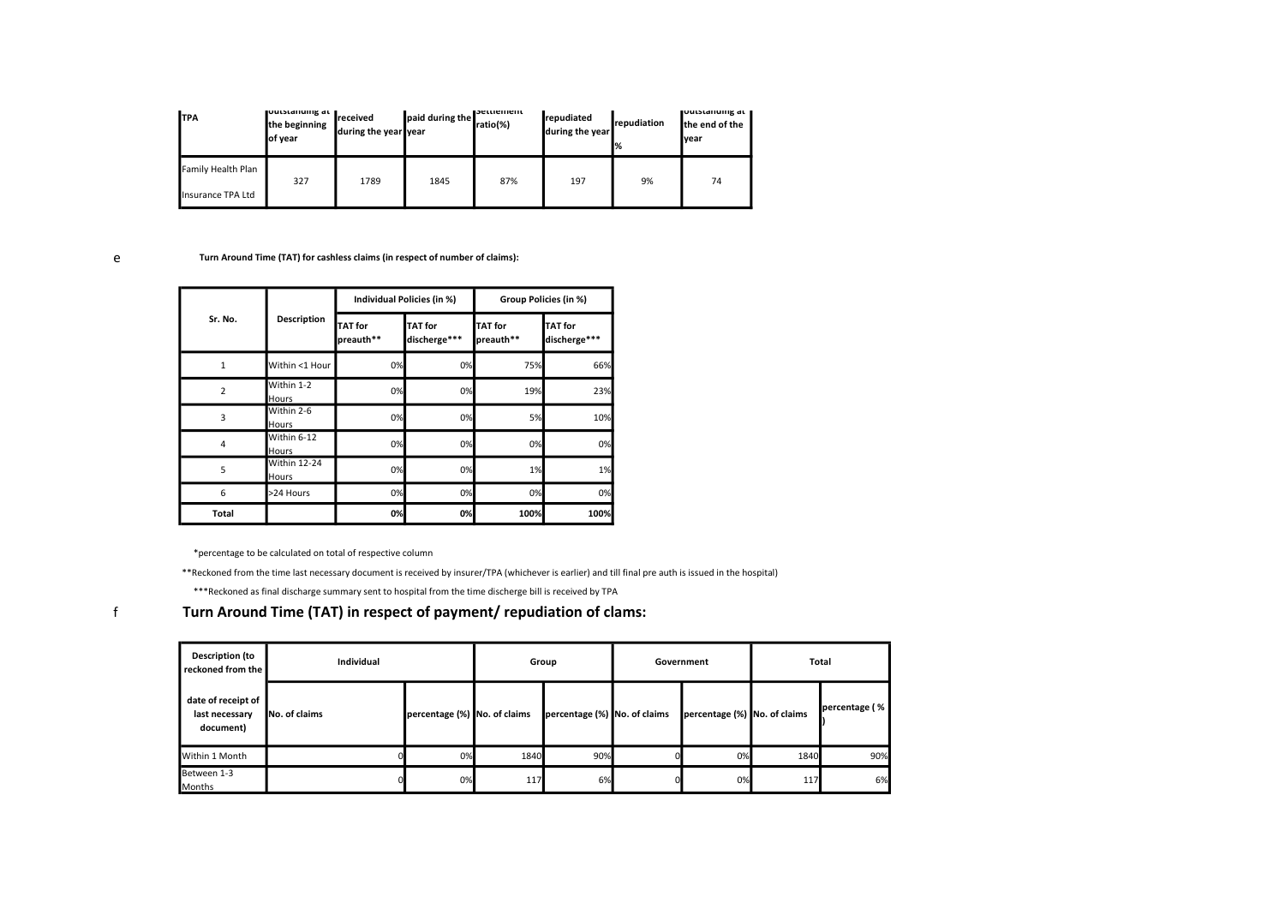| <b>I</b> TPA       | <b>Toutstanuing at 1</b><br>the beginning<br>of year | received<br>during the year vear | paid during the | <b>Bettlement</b><br>ratio(%) | <b>I</b> repudiated<br>during the year | repudiation<br>% | <b>JUULSLAHUHK AL 1</b><br>the end of the<br>Ivear |
|--------------------|------------------------------------------------------|----------------------------------|-----------------|-------------------------------|----------------------------------------|------------------|----------------------------------------------------|
| Family Health Plan | 327                                                  | 1789                             | 1845            | 87%                           | 197                                    | 9%               | 74                                                 |
| Insurance TPA Ltd  |                                                      |                                  |                 |                               |                                        |                  |                                                    |

#### e Turn Around Time (TAT) for cashless claims (in respect of number of claims):

|                |                              |                             | Individual Policies (in %)     | Group Policies (in %)       |                                |
|----------------|------------------------------|-----------------------------|--------------------------------|-----------------------------|--------------------------------|
| Sr. No.        | <b>Description</b>           | <b>TAT</b> for<br>preauth** | <b>TAT</b> for<br>discherge*** | <b>TAT</b> for<br>preauth** | <b>TAT</b> for<br>discherge*** |
| 1              | Within <1 Hour               | 0%                          | 0%                             | 75%                         | 66%                            |
| $\overline{2}$ | Within 1-2<br>Hours          | 0%                          | 0%                             | 19%                         | 23%                            |
| 3              | Within 2-6<br>Hours          | 0%                          | 0%                             | 5%                          | 10%                            |
| $\overline{4}$ | Within 6-12<br>Hours         | 0%                          | 0%                             | 0%                          | 0%                             |
| 5              | <b>Within 12-24</b><br>Hours | 0%                          | 0%                             | 1%                          | 1%                             |
| 6              | >24 Hours                    | 0%                          | 0%                             | 0%                          | 0%                             |
| <b>Total</b>   |                              | 0%                          | 0%                             | 100%                        | 100%                           |

\*percentage to be calculated on total of respective column

\*\*Reckoned from the time last necessary document is received by insurer/TPA (whichever is earlier) and till final pre auth is issued in the hospital)

\*\*\*Reckoned as final discharge summary sent to hospital from the time discherge bill is received by TPA

f Turn Around Time (TAT) in respect of payment/ repudiation of clams:

| <b>Description (to</b><br>reckoned from the       | <b>Individual</b> |                              | Group |                              | Government |                              | Total |               |
|---------------------------------------------------|-------------------|------------------------------|-------|------------------------------|------------|------------------------------|-------|---------------|
| date of receipt of<br>last necessary<br>document) | No. of claims     | percentage (%) No. of claims |       | percentage (%) No. of claims |            | percentage (%) No. of claims |       | percentage (% |
| Within 1 Month                                    |                   | 0%                           | 1840  | 90%                          |            | 0%                           | 1840  | 90%           |
| Between 1-3<br>Months                             |                   | 0%                           | 117   | 6%                           |            | 0%                           | 117   | 6%            |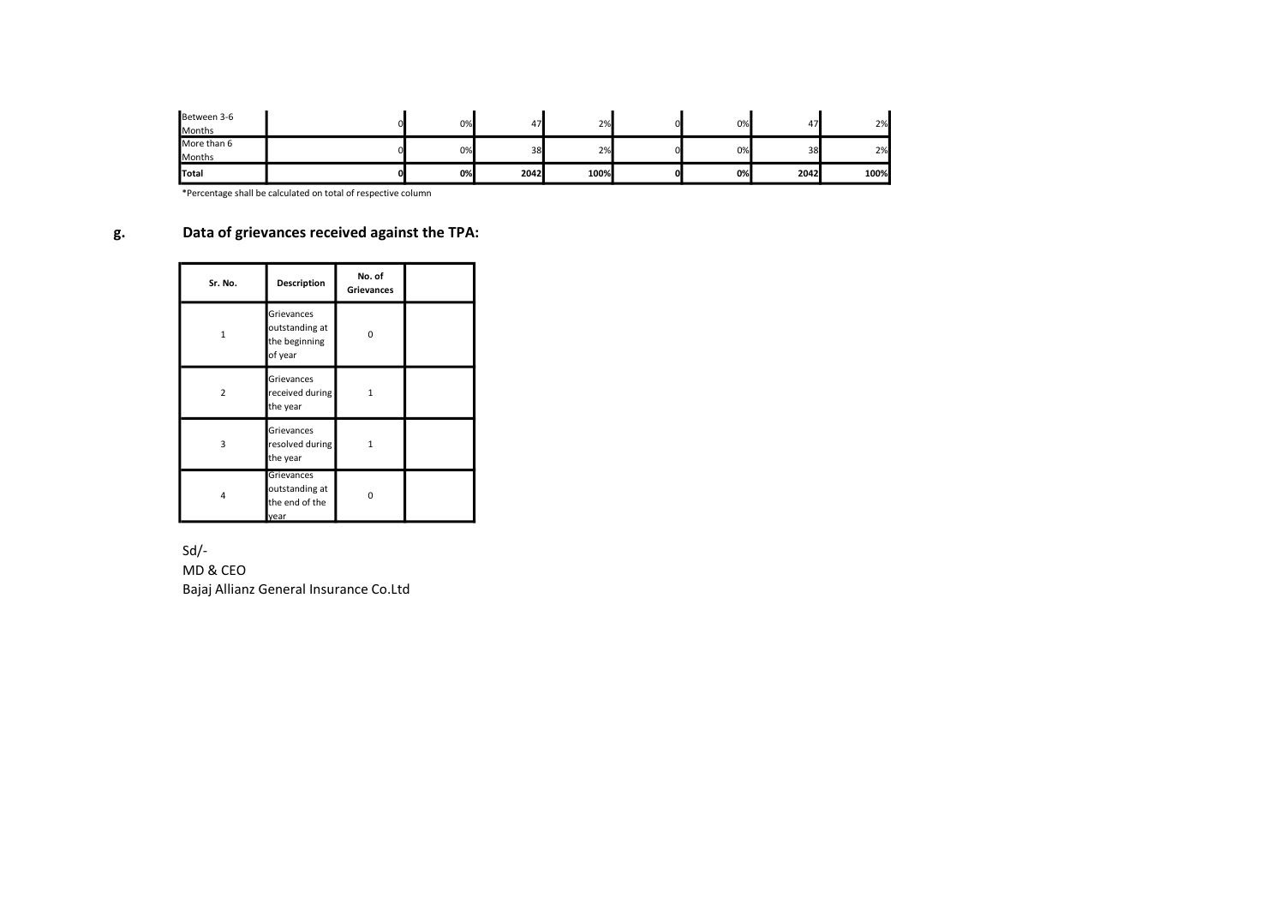| Between 3-6<br><b>Months</b> | 0% | 47   | 2%   |    | 0% | 47   | 2%   |
|------------------------------|----|------|------|----|----|------|------|
| More than 6<br><b>Months</b> | 0% | 38   | 2%   |    | 0% | 38   | 2%   |
| Total                        | 0% | 2042 | 100% | ΩI | 0% | 2042 | 100% |

\*Percentage shall be calculated on total of respective column

# g. Data of grievances received against the TPA:

| Sr. No.        | Description                                              | No. of<br><b>Grievances</b> |  |
|----------------|----------------------------------------------------------|-----------------------------|--|
| 1              | Grievances<br>outstanding at<br>the beginning<br>of year | O                           |  |
| $\overline{2}$ | Grievances<br>received during<br>the year                | 1                           |  |
| 3              | Grievances<br>resolved during<br>the year                | 1                           |  |
| 4              | Grievances<br>outstanding at<br>the end of the<br>vear   | n                           |  |

Sd/-

MD & CEO Bajaj Allianz General Insurance Co.Ltd